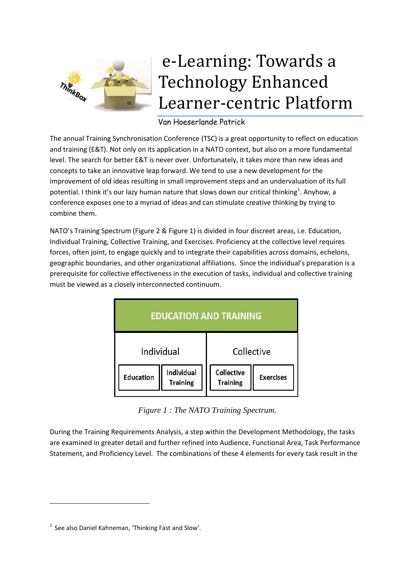

## e-Learning: Towards a Technology Enhanced Learner-centric Platform

## Van Hoeserlande Patrick

The annual Training Synchronisation Conference (TSC) is a great opportunity to reflect on education and training (E&T). Not only on its application in a NATO context, but also on a more fundamental level. The search for better E&T is never over. Unfortunately, it takes more than new ideas and concepts to take an innovative leap forward. We tend to use a new development for the improvement of old ideas resulting in small improvement steps and an undervaluation of its full potential. I think it's our lazy human nature that slows down our critical thinking<sup>1</sup>. Anyhow, a conference exposes one to a myriad of ideas and can stimulate creative thinking by trying to combine them.

NATO's Training Spectrum ([Figure 2](#page-4-0) [& Figure 1\)](#page-0-0) is divided in four discreet areas, i.e. Education, Individual Training, Collective Training, and Exercises. Proficiency at the collective level requires forces, often joint, to engage quickly and to integrate their capabilities across domains, echelons, geographic boundaries, and other organizational affiliations. Since the individual's preparation is a prerequisite for collective effectiveness in the execution of tasks, individual and collective training must be viewed as a closely interconnected continuum.



*Figure 1 : The NATO Training Spectrum.*

<span id="page-0-0"></span>During the Training Requirements Analysis, a step within the Development Methodology, the tasks are examined in greater detail and further refined into Audience, Functional Area, Task Performance Statement, and Proficiency Level. The combinations of these 4 elements for every task result in the

**.** 

 $<sup>1</sup>$  See also Daniel Kahneman, 'Thinking Fast and Slow'.</sup>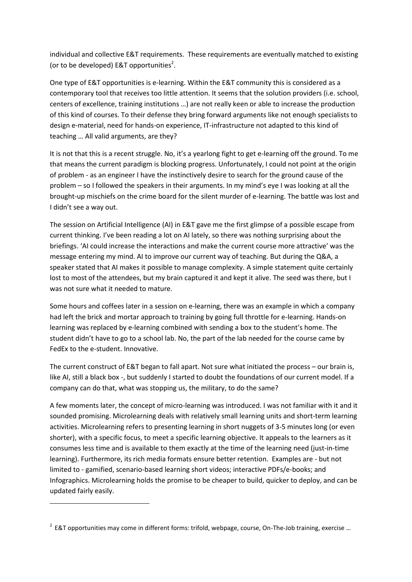individual and collective E&T requirements. These requirements are eventually matched to existing (or to be developed) E&T opportunities<sup>2</sup>.

One type of E&T opportunities is e-learning. Within the E&T community this is considered as a contemporary tool that receives too little attention. It seems that the solution providers (i.e. school, centers of excellence, training institutions …) are not really keen or able to increase the production of this kind of courses. To their defense they bring forward arguments like not enough specialists to design e-material, need for hands-on experience, IT-infrastructure not adapted to this kind of teaching … All valid arguments, are they?

It is not that this is a recent struggle. No, it's a yearlong fight to get e-learning off the ground. To me that means the current paradigm is blocking progress. Unfortunately, I could not point at the origin of problem - as an engineer I have the instinctively desire to search for the ground cause of the problem – so I followed the speakers in their arguments. In my mind's eye I was looking at all the brought-up mischiefs on the crime board for the silent murder of e-learning. The battle was lost and I didn't see a way out.

The session on Artificial Intelligence (AI) in E&T gave me the first glimpse of a possible escape from current thinking. I've been reading a lot on AI lately, so there was nothing surprising about the briefings. 'AI could increase the interactions and make the current course more attractive' was the message entering my mind. AI to improve our current way of teaching. But during the Q&A, a speaker stated that AI makes it possible to manage complexity. A simple statement quite certainly lost to most of the attendees, but my brain captured it and kept it alive. The seed was there, but I was not sure what it needed to mature.

Some hours and coffees later in a session on e-learning, there was an example in which a company had left the brick and mortar approach to training by going full throttle for e-learning. Hands-on learning was replaced by e-learning combined with sending a box to the student's home. The student didn't have to go to a school lab. No, the part of the lab needed for the course came by FedEx to the e-student. Innovative.

The current construct of E&T began to fall apart. Not sure what initiated the process – our brain is, like AI, still a black box -, but suddenly I started to doubt the foundations of our current model. If a company can do that, what was stopping us, the military, to do the same?

A few moments later, the concept of micro-learning was introduced. I was not familiar with it and it sounded promising. Microlearning deals with relatively small learning units and short-term learning activities. Microlearning refers to presenting learning in short nuggets of 3-5 minutes long (or even shorter), with a specific focus, to meet a specific learning objective. It appeals to the learners as it consumes less time and is available to them exactly at the time of the learning need (just-in-time learning). Furthermore, its rich media formats ensure better retention. Examples are - but not limited to - gamified, scenario-based learning short videos; interactive PDFs/e-books; and Infographics. Microlearning holds the promise to be cheaper to build, quicker to deploy, and can be updated fairly easily.

**.** 

 $2$  E&T opportunities may come in different forms: trifold, webpage, course, On-The-Job training, exercise ...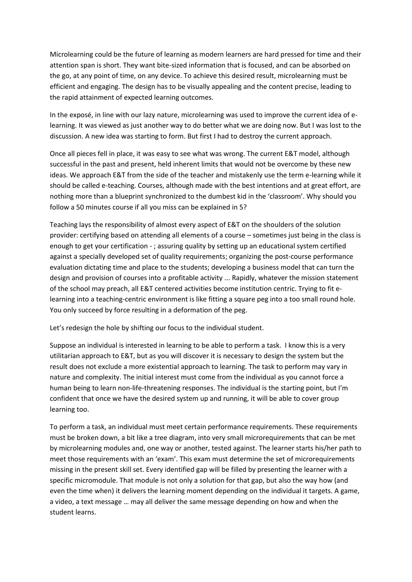Microlearning could be the future of learning as modern learners are hard pressed for time and their attention span is short. They want bite-sized information that is focused, and can be absorbed on the go, at any point of time, on any device. To achieve this desired result, microlearning must be efficient and engaging. The design has to be visually appealing and the content precise, leading to the rapid attainment of expected learning outcomes.

In the exposé, in line with our lazy nature, microlearning was used to improve the current idea of elearning. It was viewed as just another way to do better what we are doing now. But I was lost to the discussion. A new idea was starting to form. But first I had to destroy the current approach.

Once all pieces fell in place, it was easy to see what was wrong. The current E&T model, although successful in the past and present, held inherent limits that would not be overcome by these new ideas. We approach E&T from the side of the teacher and mistakenly use the term e-learning while it should be called e-teaching. Courses, although made with the best intentions and at great effort, are nothing more than a blueprint synchronized to the dumbest kid in the 'classroom'. Why should you follow a 50 minutes course if all you miss can be explained in 5?

Teaching lays the responsibility of almost every aspect of E&T on the shoulders of the solution provider: certifying based on attending all elements of a course – sometimes just being in the class is enough to get your certification - ; assuring quality by setting up an educational system certified against a specially developed set of quality requirements; organizing the post-course performance evaluation dictating time and place to the students; developing a business model that can turn the design and provision of courses into a profitable activity ... Rapidly, whatever the mission statement of the school may preach, all E&T centered activities become institution centric. Trying to fit elearning into a teaching-centric environment is like fitting a square peg into a too small round hole. You only succeed by force resulting in a deformation of the peg.

Let's redesign the hole by shifting our focus to the individual student.

Suppose an individual is interested in learning to be able to perform a task. I know this is a very utilitarian approach to E&T, but as you will discover it is necessary to design the system but the result does not exclude a more existential approach to learning. The task to perform may vary in nature and complexity. The initial interest must come from the individual as you cannot force a human being to learn non-life-threatening responses. The individual is the starting point, but I'm confident that once we have the desired system up and running, it will be able to cover group learning too.

To perform a task, an individual must meet certain performance requirements. These requirements must be broken down, a bit like a tree diagram, into very small microrequirements that can be met by microlearning modules and, one way or another, tested against. The learner starts his/her path to meet those requirements with an 'exam'. This exam must determine the set of microrequirements missing in the present skill set. Every identified gap will be filled by presenting the learner with a specific micromodule. That module is not only a solution for that gap, but also the way how (and even the time when) it delivers the learning moment depending on the individual it targets. A game, a video, a text message … may all deliver the same message depending on how and when the student learns.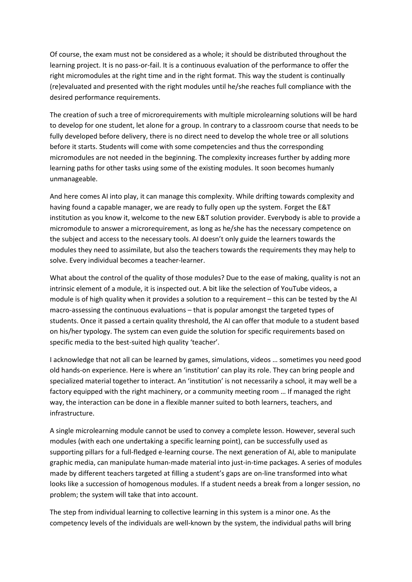Of course, the exam must not be considered as a whole; it should be distributed throughout the learning project. It is no pass-or-fail. It is a continuous evaluation of the performance to offer the right micromodules at the right time and in the right format. This way the student is continually (re)evaluated and presented with the right modules until he/she reaches full compliance with the desired performance requirements.

The creation of such a tree of microrequirements with multiple microlearning solutions will be hard to develop for one student, let alone for a group. In contrary to a classroom course that needs to be fully developed before delivery, there is no direct need to develop the whole tree or all solutions before it starts. Students will come with some competencies and thus the corresponding micromodules are not needed in the beginning. The complexity increases further by adding more learning paths for other tasks using some of the existing modules. It soon becomes humanly unmanageable.

And here comes AI into play, it can manage this complexity. While drifting towards complexity and having found a capable manager, we are ready to fully open up the system. Forget the E&T institution as you know it, welcome to the new E&T solution provider. Everybody is able to provide a micromodule to answer a microrequirement, as long as he/she has the necessary competence on the subject and access to the necessary tools. AI doesn't only guide the learners towards the modules they need to assimilate, but also the teachers towards the requirements they may help to solve. Every individual becomes a teacher-learner.

What about the control of the quality of those modules? Due to the ease of making, quality is not an intrinsic element of a module, it is inspected out. A bit like the selection of YouTube videos, a module is of high quality when it provides a solution to a requirement – this can be tested by the AI macro-assessing the continuous evaluations – that is popular amongst the targeted types of students. Once it passed a certain quality threshold, the AI can offer that module to a student based on his/her typology. The system can even guide the solution for specific requirements based on specific media to the best-suited high quality 'teacher'.

I acknowledge that not all can be learned by games, simulations, videos … sometimes you need good old hands-on experience. Here is where an 'institution' can play its role. They can bring people and specialized material together to interact. An 'institution' is not necessarily a school, it may well be a factory equipped with the right machinery, or a community meeting room … If managed the right way, the interaction can be done in a flexible manner suited to both learners, teachers, and infrastructure.

A single microlearning module cannot be used to convey a complete lesson. However, several such modules (with each one undertaking a specific learning point), can be successfully used as supporting pillars for a full-fledged e-learning course. The next generation of AI, able to manipulate graphic media, can manipulate human-made material into just-in-time packages. A series of modules made by different teachers targeted at filling a student's gaps are on-line transformed into what looks like a succession of homogenous modules. If a student needs a break from a longer session, no problem; the system will take that into account.

The step from individual learning to collective learning in this system is a minor one. As the competency levels of the individuals are well-known by the system, the individual paths will bring